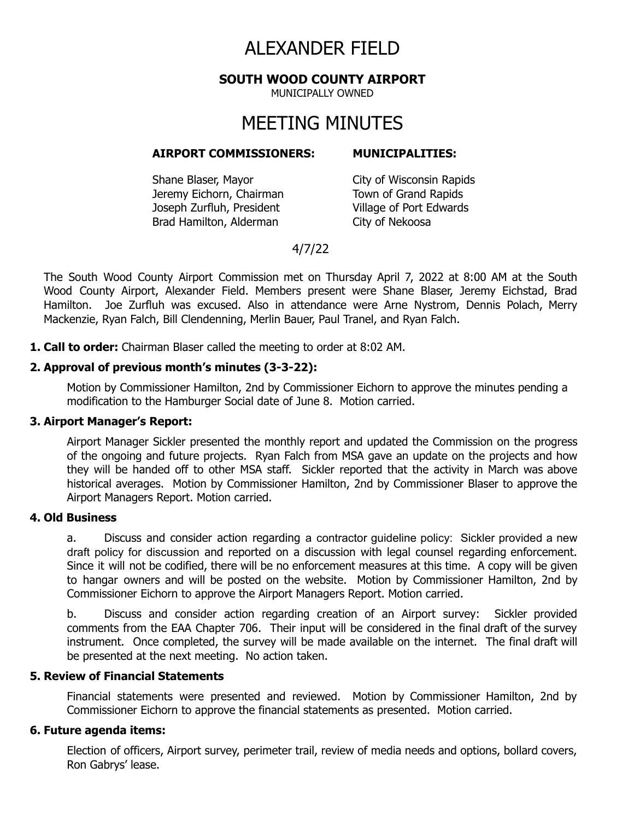# ALEXANDER FIELD

#### **SOUTH WOOD COUNTY AIRPORT**

MUNICIPALLY OWNED

# MEETING MINUTES

#### **AIRPORT COMMISSIONERS: MUNICIPALITIES:**

Shane Blaser, Mayor City of Wisconsin Rapids Jeremy Eichorn, Chairman Town of Grand Rapids Joseph Zurfluh, President Village of Port Edwards Brad Hamilton, Alderman City of Nekoosa

## 4/7/22

The South Wood County Airport Commission met on Thursday April 7, 2022 at 8:00 AM at the South Wood County Airport, Alexander Field. Members present were Shane Blaser, Jeremy Eichstad, Brad Hamilton. Joe Zurfluh was excused. Also in attendance were Arne Nystrom, Dennis Polach, Merry Mackenzie, Ryan Falch, Bill Clendenning, Merlin Bauer, Paul Tranel, and Ryan Falch.

**1. Call to order:** Chairman Blaser called the meeting to order at 8:02 AM.

#### **2. Approval of previous month's minutes (3-3-22):**

Motion by Commissioner Hamilton, 2nd by Commissioner Eichorn to approve the minutes pending a modification to the Hamburger Social date of June 8. Motion carried.

#### **3. Airport Manager's Report:**

Airport Manager Sickler presented the monthly report and updated the Commission on the progress of the ongoing and future projects. Ryan Falch from MSA gave an update on the projects and how they will be handed off to other MSA staff. Sickler reported that the activity in March was above historical averages. Motion by Commissioner Hamilton, 2nd by Commissioner Blaser to approve the Airport Managers Report. Motion carried.

#### **4. Old Business**

a. Discuss and consider action regarding a contractor guideline policy: Sickler provided a new draft policy for discussion and reported on a discussion with legal counsel regarding enforcement. Since it will not be codified, there will be no enforcement measures at this time. A copy will be given to hangar owners and will be posted on the website. Motion by Commissioner Hamilton, 2nd by Commissioner Eichorn to approve the Airport Managers Report. Motion carried.

b. Discuss and consider action regarding creation of an Airport survey: Sickler provided comments from the EAA Chapter 706. Their input will be considered in the final draft of the survey instrument. Once completed, the survey will be made available on the internet. The final draft will be presented at the next meeting. No action taken.

#### **5. Review of Financial Statements**

Financial statements were presented and reviewed. Motion by Commissioner Hamilton, 2nd by Commissioner Eichorn to approve the financial statements as presented. Motion carried.

#### **6. Future agenda items:**

Election of officers, Airport survey, perimeter trail, review of media needs and options, bollard covers, Ron Gabrys' lease.